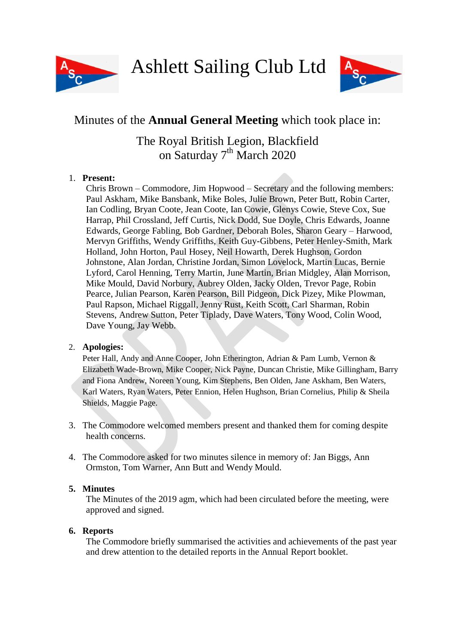

Ashlett Sailing Club Ltd



# Minutes of the **Annual General Meeting** which took place in:

# The Royal British Legion, Blackfield on Saturday 7<sup>th</sup> March 2020

# 1. **Present:**

Chris Brown – Commodore, Jim Hopwood – Secretary and the following members: Paul Askham, Mike Bansbank, Mike Boles, Julie Brown, Peter Butt, Robin Carter, Ian Codling, Bryan Coote, Jean Coote, Ian Cowie, Glenys Cowie, Steve Cox, Sue Harrap, Phil Crossland, Jeff Curtis, Nick Dodd, Sue Doyle, Chris Edwards, Joanne Edwards, George Fabling, Bob Gardner, Deborah Boles, Sharon Geary – Harwood, Mervyn Griffiths, Wendy Griffiths, Keith Guy-Gibbens, Peter Henley-Smith, Mark Holland, John Horton, Paul Hosey, Neil Howarth, Derek Hughson, Gordon Johnstone, Alan Jordan, Christine Jordan, Simon Lovelock, Martin Lucas, Bernie Lyford, Carol Henning, Terry Martin, June Martin, Brian Midgley, Alan Morrison, Mike Mould, David Norbury, Aubrey Olden, Jacky Olden, Trevor Page, Robin Pearce, Julian Pearson, Karen Pearson, Bill Pidgeon, Dick Pizey, Mike Plowman, Paul Rapson, Michael Riggall, Jenny Rust, Keith Scott, Carl Sharman, Robin Stevens, Andrew Sutton, Peter Tiplady, Dave Waters, Tony Wood, Colin Wood, Dave Young, Jay Webb.

## 2. **Apologies:**

Peter Hall, Andy and Anne Cooper, John Etherington, Adrian & Pam Lumb, Vernon & Elizabeth Wade-Brown, Mike Cooper, Nick Payne, Duncan Christie, Mike Gillingham, Barry and Fiona Andrew, Noreen Young, Kim Stephens, Ben Olden, Jane Askham, Ben Waters, Karl Waters, Ryan Waters, Peter Ennion, Helen Hughson, Brian Cornelius, Philip & Sheila Shields, Maggie Page.

- 3. The Commodore welcomed members present and thanked them for coming despite health concerns.
- 4. The Commodore asked for two minutes silence in memory of: Jan Biggs, Ann Ormston, Tom Warner, Ann Butt and Wendy Mould.

# **5. Minutes**

The Minutes of the 2019 agm, which had been circulated before the meeting, were approved and signed.

# **6. Reports**

The Commodore briefly summarised the activities and achievements of the past year and drew attention to the detailed reports in the Annual Report booklet.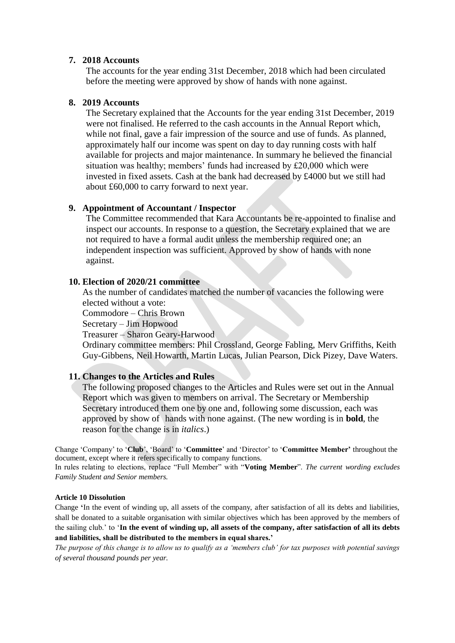## **7. 2018 Accounts**

The accounts for the year ending 31st December, 2018 which had been circulated before the meeting were approved by show of hands with none against.

## **8. 2019 Accounts**

The Secretary explained that the Accounts for the year ending 31st December, 2019 were not finalised. He referred to the cash accounts in the Annual Report which, while not final, gave a fair impression of the source and use of funds. As planned, approximately half our income was spent on day to day running costs with half available for projects and major maintenance. In summary he believed the financial situation was healthy; members' funds had increased by £20,000 which were invested in fixed assets. Cash at the bank had decreased by £4000 but we still had about £60,000 to carry forward to next year.

### **9. Appointment of Accountant / Inspector**

The Committee recommended that Kara Accountants be re-appointed to finalise and inspect our accounts. In response to a question, the Secretary explained that we are not required to have a formal audit unless the membership required one; an independent inspection was sufficient. Approved by show of hands with none against.

### **10. Election of 2020/21 committee**

As the number of candidates matched the number of vacancies the following were elected without a vote:

Commodore – Chris Brown

Secretary – Jim Hopwood

Treasurer – Sharon Geary-Harwood

Ordinary committee members: Phil Crossland, George Fabling, Merv Griffiths, Keith Guy-Gibbens, Neil Howarth, Martin Lucas, Julian Pearson, Dick Pizey, Dave Waters.

## **11. Changes to the Articles and Rules**

The following proposed changes to the Articles and Rules were set out in the Annual Report which was given to members on arrival. The Secretary or Membership Secretary introduced them one by one and, following some discussion, each was approved by show of hands with none against. (The new wording is in **bold**, the reason for the change is in *italics*.)

Change 'Company' to '**Club**', 'Board' to '**Committee**' and 'Director' to '**Committee Member'** throughout the document, except where it refers specifically to company functions.

In rules relating to elections, replace "Full Member" with "**Voting Member**". *The current wording excludes Family Student and Senior members.*

#### **Article 10 Dissolution**

Change **'**In the event of winding up, all assets of the company, after satisfaction of all its debts and liabilities, shall be donated to a suitable organisation with similar objectives which has been approved by the members of the sailing club.' to '**In the event of winding up, all assets of the company, after satisfaction of all its debts and liabilities, shall be distributed to the members in equal shares.'**

*The purpose of this change is to allow us to qualify as a 'members club' for tax purposes with potential savings of several thousand pounds per year.*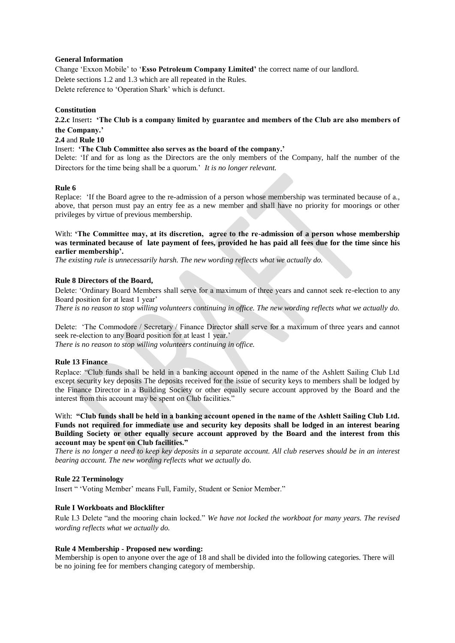#### **General Information**

Change 'Exxon Mobile' to '**Esso Petroleum Company Limited'** the correct name of our landlord. Delete sections 1.2 and 1.3 which are all repeated in the Rules. Delete reference to 'Operation Shark' which is defunct.

#### **Constitution**

**2.2.c** Insert**: 'The Club is a company limited by guarantee and members of the Club are also members of the Company.'**

#### **2.4** and **Rule 10**

#### Insert: **'The Club Committee also serves as the board of the company.'**

Delete: 'If and for as long as the Directors are the only members of the Company, half the number of the Directors for the time being shall be a quorum.' *It is no longer relevant.*

#### **Rule 6**

Replace: 'If the Board agree to the re-admission of a person whose membership was terminated because of a., above, that person must pay an entry fee as a new member and shall have no priority for moorings or other privileges by virtue of previous membership.

#### With: **'The Committee may, at its discretion, agree to the re-admission of a person whose membership was terminated because of late payment of fees, provided he has paid all fees due for the time since his earlier membership'.**

*The existing rule is unnecessarily harsh. The new wording reflects what we actually do.*

#### **Rule 8 Directors of the Board,**

Delete: 'Ordinary Board Members shall serve for a maximum of three years and cannot seek re-election to any Board position for at least 1 year' *There is no reason to stop willing volunteers continuing in office. The new wording reflects what we actually do.*

Delete: 'The Commodore / Secretary / Finance Director shall serve for a maximum of three years and cannot seek re-election to any Board position for at least 1 year.' *There is no reason to stop willing volunteers continuing in office.*

#### **Rule 13 Finance**

Replace: "Club funds shall be held in a banking account opened in the name of the Ashlett Sailing Club Ltd except security key deposits The deposits received for the issue of security keys to members shall be lodged by the Finance Director in a Building Society or other equally secure account approved by the Board and the interest from this account may be spent on Club facilities."

With: **"Club funds shall be held in a banking account opened in the name of the Ashlett Sailing Club Ltd. Funds not required for immediate use and security key deposits shall be lodged in an interest bearing Building Society or other equally secure account approved by the Board and the interest from this account may be spent on Club facilities."**

*There is no longer a need to keep key deposits in a separate account. All club reserves should be in an interest bearing account. The new wording reflects what we actually do.* 

#### **Rule 22 Terminology**

Insert " 'Voting Member' means Full, Family, Student or Senior Member."

#### **Rule I Workboats and Blocklifter**

Rule I.3 Delete "and the mooring chain locked." *We have not locked the workboat for many years. The revised wording reflects what we actually do.*

#### **Rule 4 Membership - Proposed new wording:**

Membership is open to anyone over the age of 18 and shall be divided into the following categories. There will be no joining fee for members changing category of membership.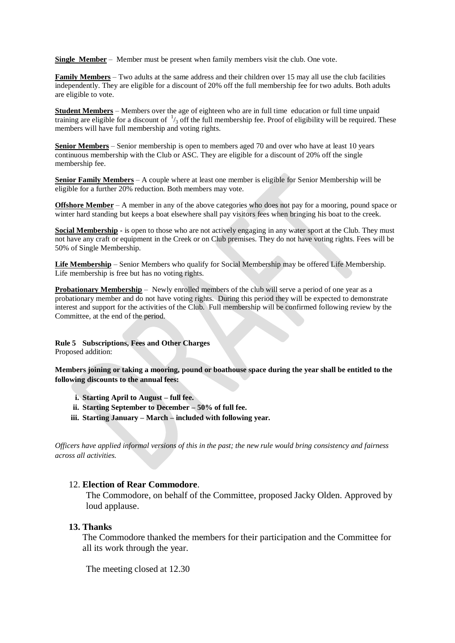**Single Member** – Member must be present when family members visit the club. One vote.

**Family Members** – Two adults at the same address and their children over 15 may all use the club facilities independently. They are eligible for a discount of 20% off the full membership fee for two adults. Both adults are eligible to vote.

**Student Members** – Members over the age of eighteen who are in full time education or full time unpaid training are eligible for a discount of  $\frac{1}{3}$  off the full membership fee. Proof of eligibility will be required. These members will have full membership and voting rights.

**Senior Members** – Senior membership is open to members aged 70 and over who have at least 10 years continuous membership with the Club or ASC. They are eligible for a discount of 20% off the single membership fee.

**Senior Family Members** – A couple where at least one member is eligible for Senior Membership will be eligible for a further 20% reduction. Both members may vote.

**Offshore Member** – A member in any of the above categories who does not pay for a mooring, pound space or winter hard standing but keeps a boat elsewhere shall pay visitors fees when bringing his boat to the creek.

**Social Membership** - is open to those who are not actively engaging in any water sport at the Club. They must not have any craft or equipment in the Creek or on Club premises. They do not have voting rights. Fees will be 50% of Single Membership.

**Life Membership** – Senior Members who qualify for Social Membership may be offered Life Membership. Life membership is free but has no voting rights.

**Probationary Membership** – Newly enrolled members of the club will serve a period of one year as a probationary member and do not have voting rights. During this period they will be expected to demonstrate interest and support for the activities of the Club. Full membership will be confirmed following review by the Committee, at the end of the period.

**Rule 5 Subscriptions, Fees and Other Charges** Proposed addition:

**Members joining or taking a mooring, pound or boathouse space during the year shall be entitled to the following discounts to the annual fees:**

- **i. Starting April to August – full fee.**
- **ii. Starting September to December – 50% of full fee.**
- **iii. Starting January – March – included with following year.**

*Officers have applied informal versions of this in the past; the new rule would bring consistency and fairness across all activities.*

#### 12. **Election of Rear Commodore**.

The Commodore, on behalf of the Committee, proposed Jacky Olden. Approved by loud applause.

#### **13. Thanks**

The Commodore thanked the members for their participation and the Committee for all its work through the year.

The meeting closed at 12.30